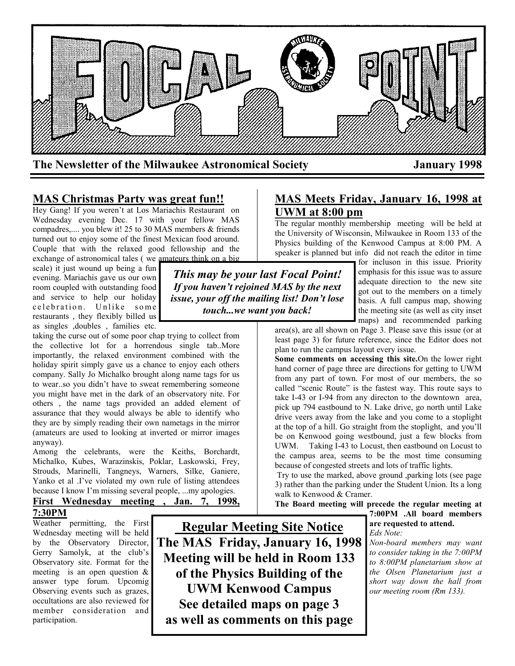

# **MAS Christmas Party was great fun!!**

Hey Gang! If you weren't at Los Mariachis Restaurant on Wednesday evening Dec. 17 with your fellow MAS compadres,.... you blew it! 25 to 30 MAS members & friends turned out to enjoy some of the finest Mexican food around. Couple that with the relaxed good fellowship and the exchange of astronomical tales ( we amateurs think on a big

scale) it just wound up being a fun evening. Mariachis gave us our own room coupled with outstanding food and service to help our holiday celebration. Unlike some restaurants , they flexibly billed us as singles ,doubles , families etc.

taking the curse out of some poor chap trying to collect from the collective lot for a horrendous single tab..More importantly, the relaxed environment combined with the holiday spirit simply gave us a chance to enjoy each others company. Sally Jo Michalko brought along name tags for us to wear..so you didn't have to sweat remembering someone you might have met in the dark of an observatory nite. For others , the name tags provided an added element of assurance that they would always be able to identify who they are by simply reading their own nametags in the mirror (amateurs are used to looking at inverted or mirror images anyway).

Among the celebrants, were the Keiths, Borchardt, Michalko, Kubes, Warazinskis, Poklar, Laskowski, Frey, Strouds, Marinelli, Tangneys, Warners, Silke, Ganiere, Yanko et al .I've violated my own rule of listing attendees because I know I'm missing several people, ...my apologies.

## **First Wednesday meeting , Jan. 7, 1998, 7:30PM**

Weather permitting, the First Wednesday meeting will be held by the Observatory Director, Gerry Samolyk, at the club's Observatory site. Format for the meeting is an open question & answer type forum. Upcomig Observing events such as grazes, occultations are also reviewed for member consideration and participation.

**Regular Meeting Site Notice The MAS Friday, January 16, 1998 Meeting will be held in Room 133 of the Physics Building of the UWM Kenwood Campus See detailed maps on page 3 as well as comments on this page**

# **MAS Meets Friday, January 16, 1998 at UWM at 8:00 pm**

The regular monthly membership meeting will be held at the University of Wisconsin, Milwaukee in Room 133 of the Physics building of the Kenwood Campus at 8:00 PM. A speaker is planned but info did not reach the editor in time

*This may be your last Focal Point! If you haven't rejoined MAS by the next issue, your off the mailing list! Don't lose touch...we want you back!*

for incluson in this issue. Priority emphasis for this issue was to assure adequate direction to the new site got out to the members on a timely basis. A full campus map, showing the meeting site (as well as city inset maps) and recommended parking

area(s), are all shown on Page 3. Please save this issue (or at least page 3) for future reference, since the Editor does not plan to run the campus layout every issue.

**Some comments on accessing this site.**On the lower right hand corner of page three are directions for getting to UWM from any part of town. For most of our members, the so called "scenic Route" is the fastest way. This route says to take I-43 or I-94 from any directon to the downtown area, pick up 794 eastbound to N. Lake drive, go north until Lake drive veers away from the lake and you come to a stoplight at the top of a hill. Go straight from the stoplight, and you'll be on Kenwood going westbound, just a few blocks from UWM. Taking I-43 to Locust, then eastbound on Locust to the campus area, seems to be the most time consuming because of congested streets and lots of traffic lights.

Try to use the marked, above ground ,parking lots (see page 3) rather than the parking under the Student Union. Its a long walk to Kenwood & Cramer.

**The Board meeting will precede the regular meeting at** 

**7:00PM .All board members are requested to attend.**  *Eds Note:*

*Non-board members may want to consider taking in the 7:00PM to 8:00PM planetarium show at the Olsen Planetarium just a short way down the hall from our meeting room (Rm 133).*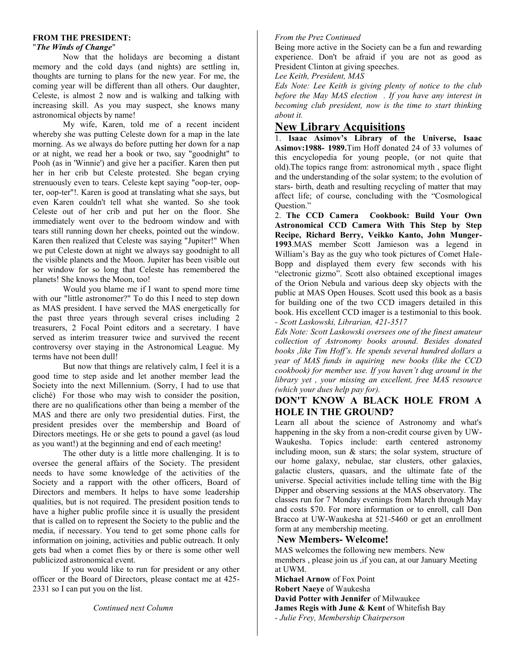#### **FROM THE PRESIDENT:**

#### "*The Winds of Change*"

Now that the holidays are becoming a distant memory and the cold days (and nights) are settling in, thoughts are turning to plans for the new year. For me, the coming year will be different than all others. Our daughter, Celeste, is almost 2 now and is walking and talking with increasing skill. As you may suspect, she knows many astronomical objects by name!

My wife, Karen, told me of a recent incident whereby she was putting Celeste down for a map in the late morning. As we always do before putting her down for a nap or at night, we read her a book or two, say "goodnight" to Pooh (as in 'Winnie') and give her a pacifier. Karen then put her in her crib but Celeste protested. She began crying strenuously even to tears. Celeste kept saying "oop-ter, oopter, oop-ter"!. Karen is good at translating what she says, but even Karen couldn't tell what she wanted. So she took Celeste out of her crib and put her on the floor. She immediately went over to the bedroom window and with tears still running down her cheeks, pointed out the window. Karen then realized that Celeste was saying "Jupiter!" When we put Celeste down at night we always say goodnight to all the visible planets and the Moon. Jupiter has been visible out her window for so long that Celeste has remembered the planets! She knows the Moon, too!

Would you blame me if I want to spend more time with our "little astronomer?" To do this I need to step down as MAS president. I have served the MAS energetically for the past three years through several crises including 2 treasurers, 2 Focal Point editors and a secretary. I have served as interim treasurer twice and survived the recent controversy over staying in the Astronomical League. My terms have not been dull!

But now that things are relatively calm, I feel it is a good time to step aside and let another member lead the Society into the next Millennium. (Sorry, I had to use that cliché) For those who may wish to consider the position, there are no qualifications other than being a member of the MAS and there are only two presidential duties. First, the president presides over the membership and Board of Directors meetings. He or she gets to pound a gavel (as loud as you want!) at the beginning and end of each meeting!

The other duty is a little more challenging. It is to oversee the general affairs of the Society. The president needs to have some knowledge of the activities of the Society and a rapport with the other officers, Board of Directors and members. It helps to have some leadership qualities, but is not required. The president position tends to have a higher public profile since it is usually the president that is called on to represent the Society to the public and the media, if necessary. You tend to get some phone calls for information on joining, activities and public outreach. It only gets bad when a comet flies by or there is some other well publicized astronomical event.

If you would like to run for president or any other officer or the Board of Directors, please contact me at 425- 2331 so I can put you on the list.

*Continued next Column*

#### *From the Prez Continued*

Being more active in the Society can be a fun and rewarding experience. Don't be afraid if you are not as good as President Clinton at giving speeches.

*Lee Keith, President, MAS*

*Eds Note: Lee Keith is giving plenty of notice to the club before the May MAS election . If you have any interest in becoming club president, now is the time to start thinking about it.*

# **New Library Acquisitions**

1. **Isaac Asimov's Library of the Universe, Isaac Asimov:1988- 1989.**Tim Hoff donated 24 of 33 volumes of this encyclopedia for young people, (or not quite that old).The topics range from: astronomical myth , space flight and the understanding of the solar system; to the evolution of stars- birth, death and resulting recycling of matter that may affect life; of course, concluding with the "Cosmological Question."

2. **The CCD Camera Cookbook: Build Your Own Astronomical CCD Camera With This Step by Step Recipe, Richard Berry, Veikko Kanto, John Munger-1993**.MAS member Scott Jamieson was a legend in William's Bay as the guy who took pictures of Comet Hale-Bopp and displayed them every few seconds with his "electronic gizmo". Scott also obtained exceptional images of the Orion Nebula and various deep sky objects with the public at MAS Open Houses. Scott used this book as a basis for building one of the two CCD imagers detailed in this book. His excellent CCD imager is a testimonial to this book. *- Scott Laskowski, Librarian, 421-3517*

*Eds Note: Scott Laskowski oversees one of the finest amateur collection of Astronomy books around. Besides donated books ,like Tim Hoff's. He spends several hundred dollars a year of MAS funds in aquiring new books (like the CCD cookbook) for member use. If you haven't dug around in the library yet , your missing an excellent, free MAS resource (which your dues help pay for).*

## **DON'T KNOW A BLACK HOLE FROM A HOLE IN THE GROUND?**

Learn all about the science of Astronomy and what's happening in the sky from a non-credit course given by UW-Waukesha. Topics include: earth centered astronomy including moon, sun & stars; the solar system, structure of our home galaxy, nebulae, star clusters, other galaxies, galactic clusters, quasars, and the ultimate fate of the universe. Special activities include telling time with the Big Dipper and observing sessions at the MAS observatory. The classes run for 7 Monday evenings from March through May and costs \$70. For more information or to enroll, call Don Bracco at UW-Waukesha at 521-5460 or get an enrollment form at any membership meeting.

### **New Members- Welcome!**

MAS welcomes the following new members. New members , please join us ,if you can, at our January Meeting at UWM.

**Michael Arnow** of Fox Point **Robert Naeye** of Waukesha **David Potter with Jennifer** of Milwaukee **James Regis with June & Kent** of Whitefish Bay *- Julie Frey, Membership Chairperson*